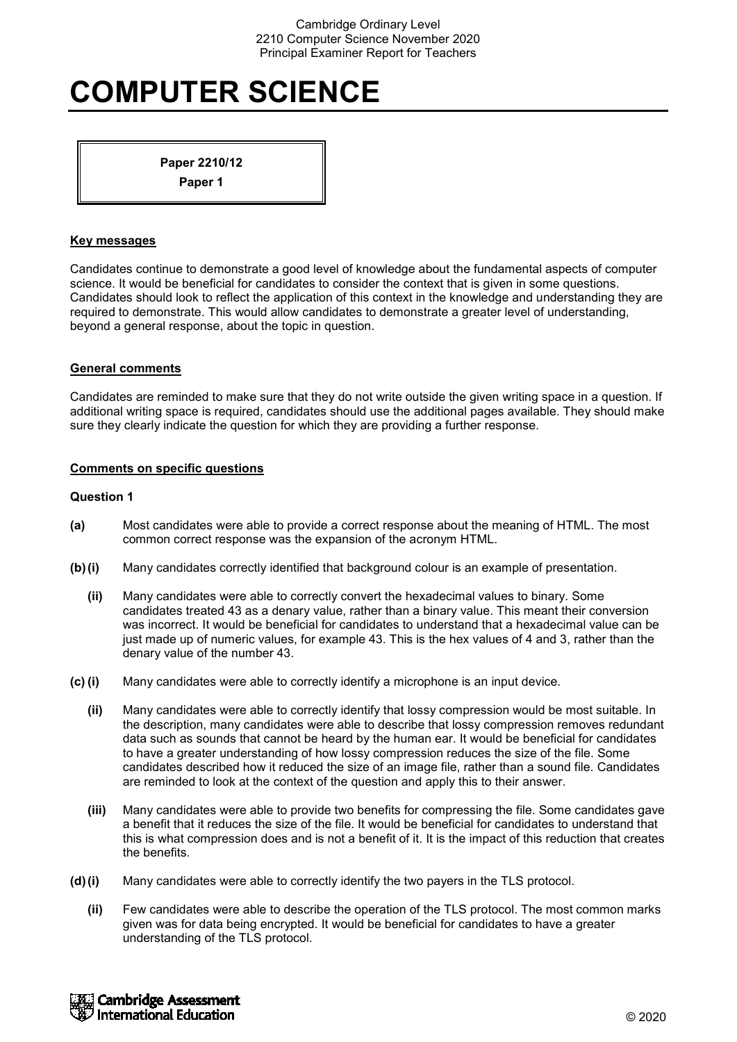# **COMPUTER SCIENCE**

**Paper 2210/12**

**Paper 1**

# **Key messages**

Candidates continue to demonstrate a good level of knowledge about the fundamental aspects of computer science. It would be beneficial for candidates to consider the context that is given in some questions. Candidates should look to reflect the application of this context in the knowledge and understanding they are required to demonstrate. This would allow candidates to demonstrate a greater level of understanding, beyond a general response, about the topic in question.

# **General comments**

Candidates are reminded to make sure that they do not write outside the given writing space in a question. If additional writing space is required, candidates should use the additional pages available. They should make sure they clearly indicate the question for which they are providing a further response.

# **Comments on specific questions**

- **(a)** Most candidates were able to provide a correct response about the meaning of HTML. The most common correct response was the expansion of the acronym HTML.
- **(b)(i)** Many candidates correctly identified that background colour is an example of presentation.
	- **(ii)** Many candidates were able to correctly convert the hexadecimal values to binary. Some candidates treated 43 as a denary value, rather than a binary value. This meant their conversion was incorrect. It would be beneficial for candidates to understand that a hexadecimal value can be just made up of numeric values, for example 43. This is the hex values of 4 and 3, rather than the denary value of the number 43.
- **(c) (i)** Many candidates were able to correctly identify a microphone is an input device.
	- **(ii)** Many candidates were able to correctly identify that lossy compression would be most suitable. In the description, many candidates were able to describe that lossy compression removes redundant data such as sounds that cannot be heard by the human ear. It would be beneficial for candidates to have a greater understanding of how lossy compression reduces the size of the file. Some candidates described how it reduced the size of an image file, rather than a sound file. Candidates are reminded to look at the context of the question and apply this to their answer.
	- **(iii)** Many candidates were able to provide two benefits for compressing the file. Some candidates gave a benefit that it reduces the size of the file. It would be beneficial for candidates to understand that this is what compression does and is not a benefit of it. It is the impact of this reduction that creates the benefits.
- **(d)(i)** Many candidates were able to correctly identify the two payers in the TLS protocol.
	- **(ii)** Few candidates were able to describe the operation of the TLS protocol. The most common marks given was for data being encrypted. It would be beneficial for candidates to have a greater understanding of the TLS protocol.

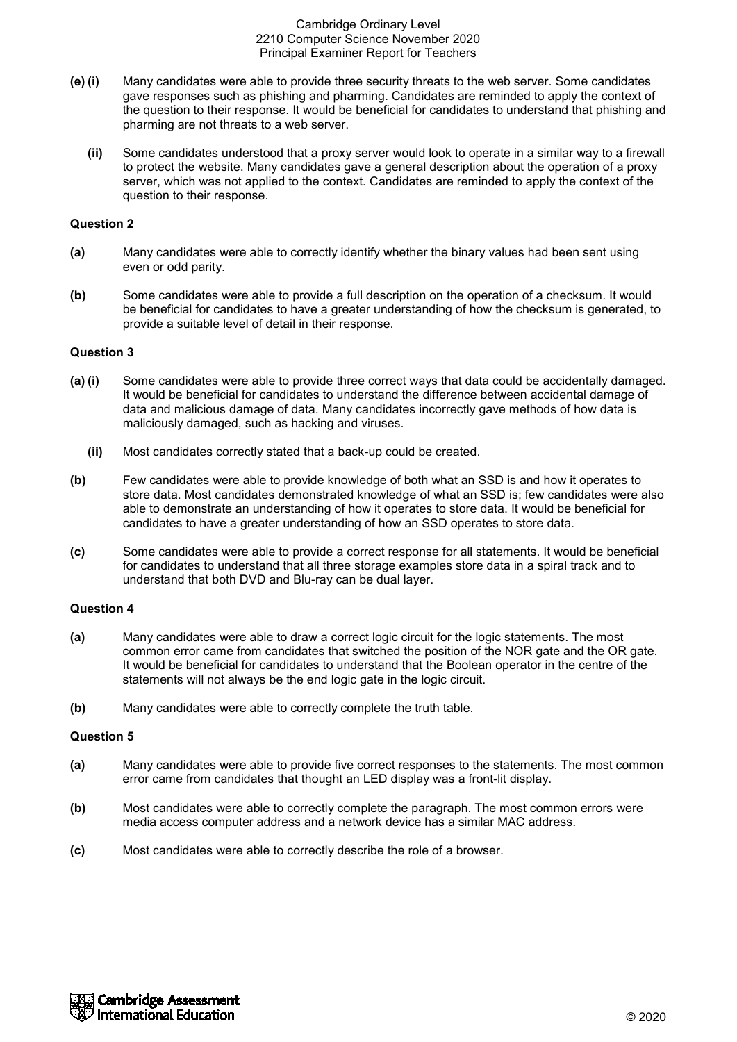- **(e) (i)** Many candidates were able to provide three security threats to the web server. Some candidates gave responses such as phishing and pharming. Candidates are reminded to apply the context of the question to their response. It would be beneficial for candidates to understand that phishing and pharming are not threats to a web server.
	- **(ii)** Some candidates understood that a proxy server would look to operate in a similar way to a firewall to protect the website. Many candidates gave a general description about the operation of a proxy server, which was not applied to the context. Candidates are reminded to apply the context of the question to their response.

# **Question 2**

- **(a)** Many candidates were able to correctly identify whether the binary values had been sent using even or odd parity.
- **(b)** Some candidates were able to provide a full description on the operation of a checksum. It would be beneficial for candidates to have a greater understanding of how the checksum is generated, to provide a suitable level of detail in their response.

# **Question 3**

- **(a) (i)** Some candidates were able to provide three correct ways that data could be accidentally damaged. It would be beneficial for candidates to understand the difference between accidental damage of data and malicious damage of data. Many candidates incorrectly gave methods of how data is maliciously damaged, such as hacking and viruses.
	- **(ii)** Most candidates correctly stated that a back-up could be created.
- **(b)** Few candidates were able to provide knowledge of both what an SSD is and how it operates to store data. Most candidates demonstrated knowledge of what an SSD is; few candidates were also able to demonstrate an understanding of how it operates to store data. It would be beneficial for candidates to have a greater understanding of how an SSD operates to store data.
- **(c)** Some candidates were able to provide a correct response for all statements. It would be beneficial for candidates to understand that all three storage examples store data in a spiral track and to understand that both DVD and Blu-ray can be dual layer.

### **Question 4**

- **(a)** Many candidates were able to draw a correct logic circuit for the logic statements. The most common error came from candidates that switched the position of the NOR gate and the OR gate. It would be beneficial for candidates to understand that the Boolean operator in the centre of the statements will not always be the end logic gate in the logic circuit.
- **(b)** Many candidates were able to correctly complete the truth table.

- **(a)** Many candidates were able to provide five correct responses to the statements. The most common error came from candidates that thought an LED display was a front-lit display.
- **(b)** Most candidates were able to correctly complete the paragraph. The most common errors were media access computer address and a network device has a similar MAC address.
- **(c)** Most candidates were able to correctly describe the role of a browser.

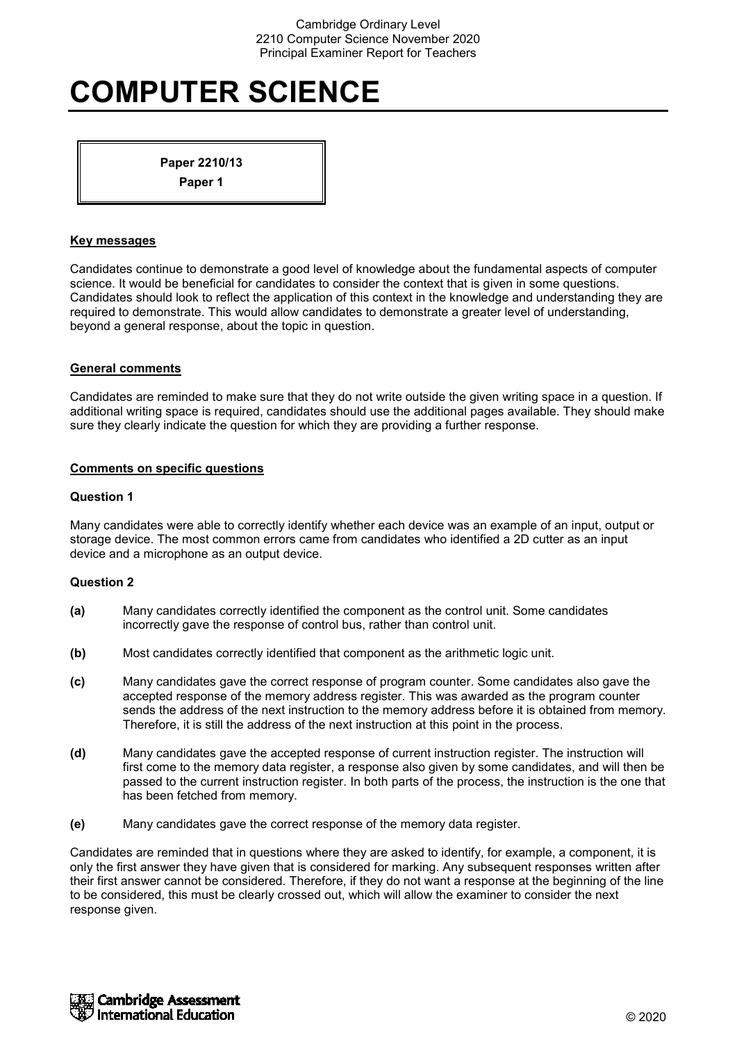# **COMPUTER SCIENCE**

**Paper 2210/13 Paper 1**

# **Key messages**

Candidates continue to demonstrate a good level of knowledge about the fundamental aspects of computer science. It would be beneficial for candidates to consider the context that is given in some questions. Candidates should look to reflect the application of this context in the knowledge and understanding they are required to demonstrate. This would allow candidates to demonstrate a greater level of understanding, beyond a general response, about the topic in question.

# **General comments**

Candidates are reminded to make sure that they do not write outside the given writing space in a question. If additional writing space is required, candidates should use the additional pages available. They should make sure they clearly indicate the question for which they are providing a further response.

# **Comments on specific questions**

# **Question 1**

Many candidates were able to correctly identify whether each device was an example of an input, output or storage device. The most common errors came from candidates who identified a 2D cutter as an input device and a microphone as an output device.

# **Question 2**

- **(a)** Many candidates correctly identified the component as the control unit. Some candidates incorrectly gave the response of control bus, rather than control unit.
- **(b)** Most candidates correctly identified that component as the arithmetic logic unit.
- **(c)** Many candidates gave the correct response of program counter. Some candidates also gave the accepted response of the memory address register. This was awarded as the program counter sends the address of the next instruction to the memory address before it is obtained from memory. Therefore, it is still the address of the next instruction at this point in the process.
- **(d)** Many candidates gave the accepted response of current instruction register. The instruction will first come to the memory data register, a response also given by some candidates, and will then be passed to the current instruction register. In both parts of the process, the instruction is the one that has been fetched from memory.
- **(e)** Many candidates gave the correct response of the memory data register.

Candidates are reminded that in questions where they are asked to identify, for example, a component, it is only the first answer they have given that is considered for marking. Any subsequent responses written after their first answer cannot be considered. Therefore, if they do not want a response at the beginning of the line to be considered, this must be clearly crossed out, which will allow the examiner to consider the next response given.

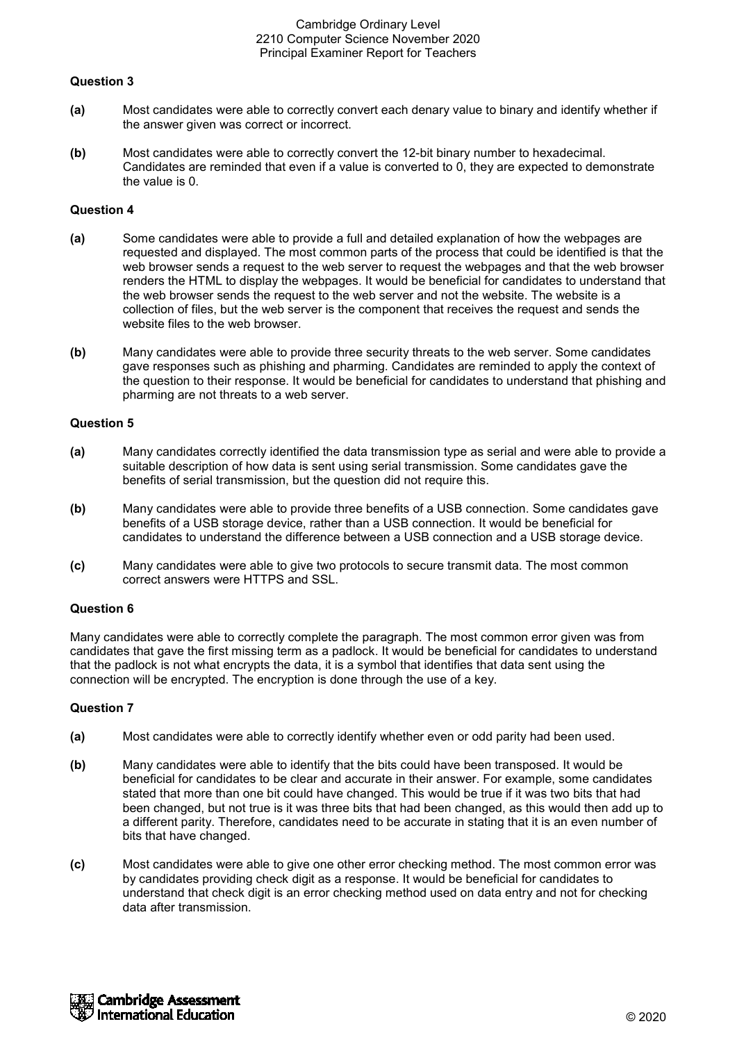# **Question 3**

- **(a)** Most candidates were able to correctly convert each denary value to binary and identify whether if the answer given was correct or incorrect.
- **(b)** Most candidates were able to correctly convert the 12-bit binary number to hexadecimal. Candidates are reminded that even if a value is converted to 0, they are expected to demonstrate the value is 0.

# **Question 4**

- **(a)** Some candidates were able to provide a full and detailed explanation of how the webpages are requested and displayed. The most common parts of the process that could be identified is that the web browser sends a request to the web server to request the webpages and that the web browser renders the HTML to display the webpages. It would be beneficial for candidates to understand that the web browser sends the request to the web server and not the website. The website is a collection of files, but the web server is the component that receives the request and sends the website files to the web browser.
- **(b)** Many candidates were able to provide three security threats to the web server. Some candidates gave responses such as phishing and pharming. Candidates are reminded to apply the context of the question to their response. It would be beneficial for candidates to understand that phishing and pharming are not threats to a web server.

### **Question 5**

- **(a)** Many candidates correctly identified the data transmission type as serial and were able to provide a suitable description of how data is sent using serial transmission. Some candidates gave the benefits of serial transmission, but the question did not require this.
- **(b)** Many candidates were able to provide three benefits of a USB connection. Some candidates gave benefits of a USB storage device, rather than a USB connection. It would be beneficial for candidates to understand the difference between a USB connection and a USB storage device.
- **(c)** Many candidates were able to give two protocols to secure transmit data. The most common correct answers were HTTPS and SSL.

### **Question 6**

Many candidates were able to correctly complete the paragraph. The most common error given was from candidates that gave the first missing term as a padlock. It would be beneficial for candidates to understand that the padlock is not what encrypts the data, it is a symbol that identifies that data sent using the connection will be encrypted. The encryption is done through the use of a key.

- **(a)** Most candidates were able to correctly identify whether even or odd parity had been used.
- **(b)** Many candidates were able to identify that the bits could have been transposed. It would be beneficial for candidates to be clear and accurate in their answer. For example, some candidates stated that more than one bit could have changed. This would be true if it was two bits that had been changed, but not true is it was three bits that had been changed, as this would then add up to a different parity. Therefore, candidates need to be accurate in stating that it is an even number of bits that have changed.
- **(c)** Most candidates were able to give one other error checking method. The most common error was by candidates providing check digit as a response. It would be beneficial for candidates to understand that check digit is an error checking method used on data entry and not for checking data after transmission.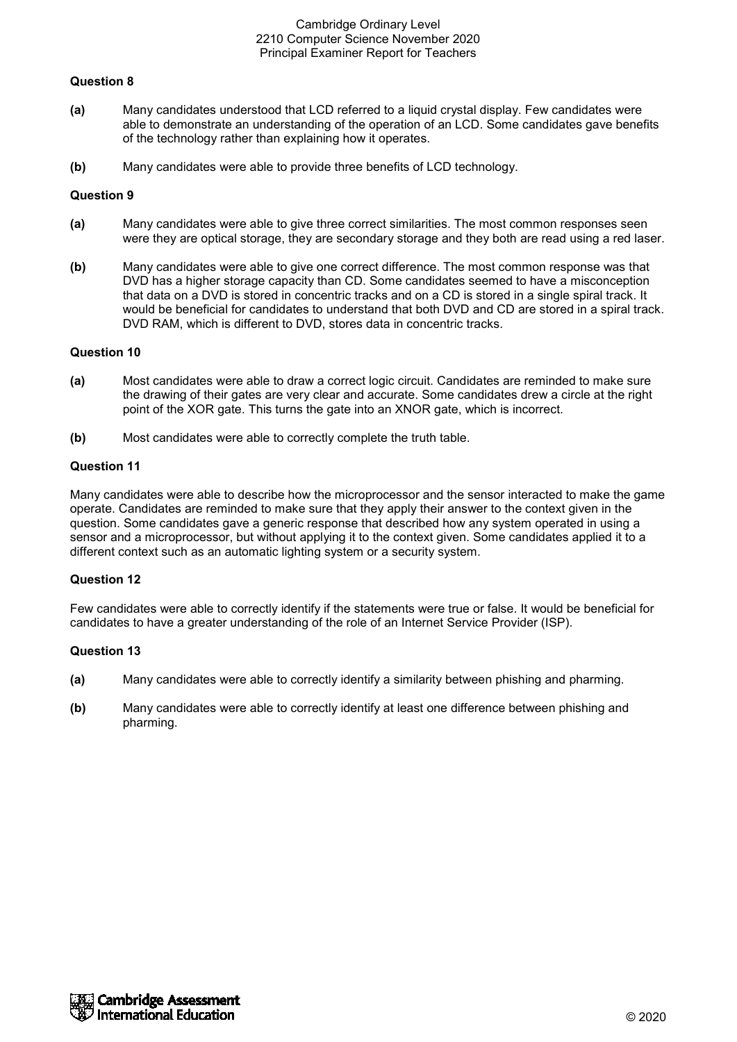# **Question 8**

- **(a)** Many candidates understood that LCD referred to a liquid crystal display. Few candidates were able to demonstrate an understanding of the operation of an LCD. Some candidates gave benefits of the technology rather than explaining how it operates.
- **(b)** Many candidates were able to provide three benefits of LCD technology.

## **Question 9**

- **(a)** Many candidates were able to give three correct similarities. The most common responses seen were they are optical storage, they are secondary storage and they both are read using a red laser.
- **(b)** Many candidates were able to give one correct difference. The most common response was that DVD has a higher storage capacity than CD. Some candidates seemed to have a misconception that data on a DVD is stored in concentric tracks and on a CD is stored in a single spiral track. It would be beneficial for candidates to understand that both DVD and CD are stored in a spiral track. DVD RAM, which is different to DVD, stores data in concentric tracks.

### **Question 10**

- **(a)** Most candidates were able to draw a correct logic circuit. Candidates are reminded to make sure the drawing of their gates are very clear and accurate. Some candidates drew a circle at the right point of the XOR gate. This turns the gate into an XNOR gate, which is incorrect.
- **(b)** Most candidates were able to correctly complete the truth table.

# **Question 11**

Many candidates were able to describe how the microprocessor and the sensor interacted to make the game operate. Candidates are reminded to make sure that they apply their answer to the context given in the question. Some candidates gave a generic response that described how any system operated in using a sensor and a microprocessor, but without applying it to the context given. Some candidates applied it to a different context such as an automatic lighting system or a security system.

### **Question 12**

Few candidates were able to correctly identify if the statements were true or false. It would be beneficial for candidates to have a greater understanding of the role of an Internet Service Provider (ISP).

- **(a)** Many candidates were able to correctly identify a similarity between phishing and pharming.
- **(b)** Many candidates were able to correctly identify at least one difference between phishing and pharming.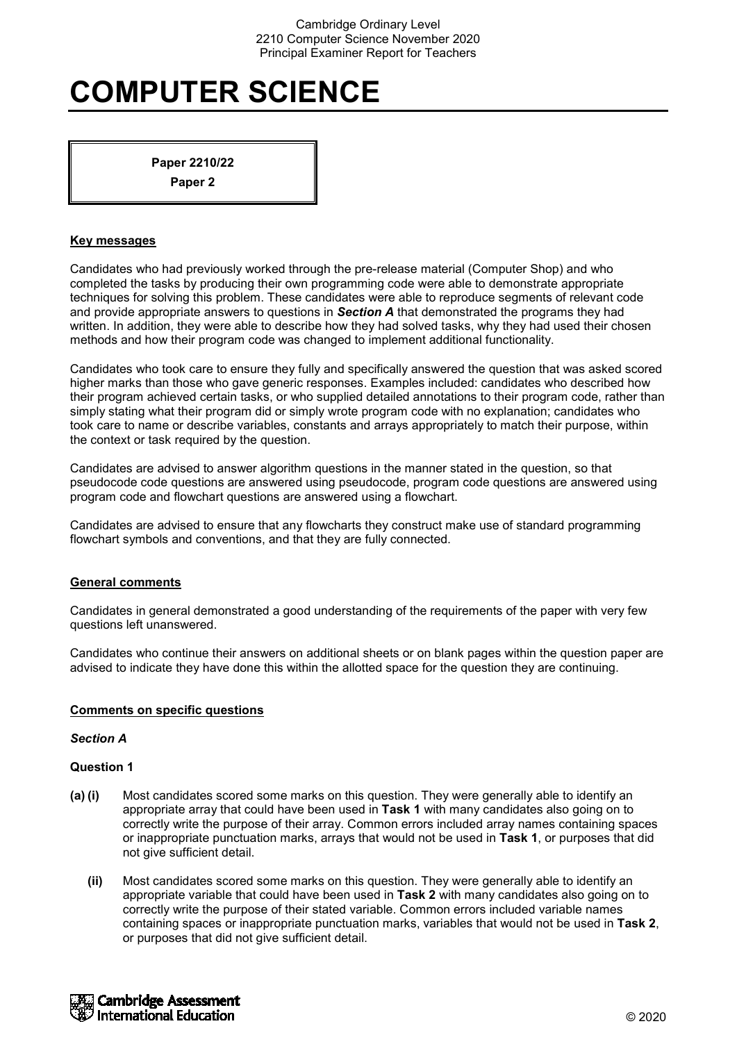# **COMPUTER SCIENCE**

**Paper 2210/22 Paper 2**

# **Key messages**

Candidates who had previously worked through the pre-release material (Computer Shop) and who completed the tasks by producing their own programming code were able to demonstrate appropriate techniques for solving this problem. These candidates were able to reproduce segments of relevant code and provide appropriate answers to questions in *Section A* that demonstrated the programs they had written. In addition, they were able to describe how they had solved tasks, why they had used their chosen methods and how their program code was changed to implement additional functionality.

Candidates who took care to ensure they fully and specifically answered the question that was asked scored higher marks than those who gave generic responses. Examples included: candidates who described how their program achieved certain tasks, or who supplied detailed annotations to their program code, rather than simply stating what their program did or simply wrote program code with no explanation; candidates who took care to name or describe variables, constants and arrays appropriately to match their purpose, within the context or task required by the question.

Candidates are advised to answer algorithm questions in the manner stated in the question, so that pseudocode code questions are answered using pseudocode, program code questions are answered using program code and flowchart questions are answered using a flowchart.

Candidates are advised to ensure that any flowcharts they construct make use of standard programming flowchart symbols and conventions, and that they are fully connected.

### **General comments**

Candidates in general demonstrated a good understanding of the requirements of the paper with very few questions left unanswered.

Candidates who continue their answers on additional sheets or on blank pages within the question paper are advised to indicate they have done this within the allotted space for the question they are continuing.

### **Comments on specific questions**

### *Section A*

- **(a) (i)** Most candidates scored some marks on this question. They were generally able to identify an appropriate array that could have been used in **Task 1** with many candidates also going on to correctly write the purpose of their array. Common errors included array names containing spaces or inappropriate punctuation marks, arrays that would not be used in **Task 1**, or purposes that did not give sufficient detail.
	- **(ii)** Most candidates scored some marks on this question. They were generally able to identify an appropriate variable that could have been used in **Task 2** with many candidates also going on to correctly write the purpose of their stated variable. Common errors included variable names containing spaces or inappropriate punctuation marks, variables that would not be used in **Task 2**, or purposes that did not give sufficient detail.

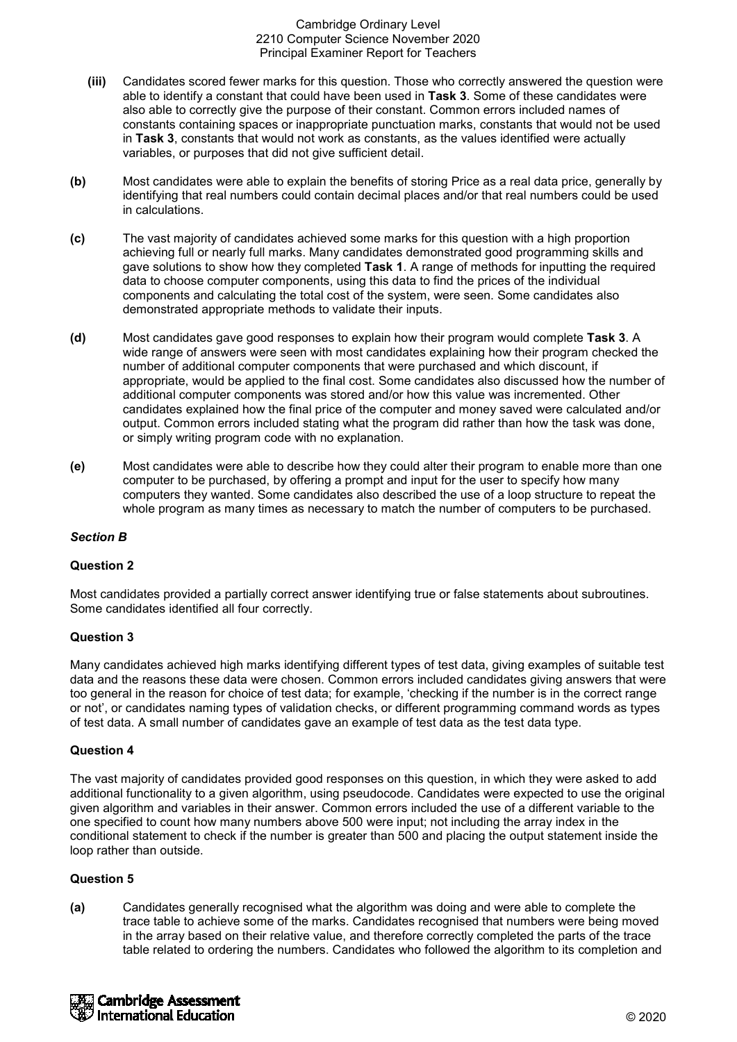- **(iii)** Candidates scored fewer marks for this question. Those who correctly answered the question were able to identify a constant that could have been used in **Task 3**. Some of these candidates were also able to correctly give the purpose of their constant. Common errors included names of constants containing spaces or inappropriate punctuation marks, constants that would not be used in **Task 3**, constants that would not work as constants, as the values identified were actually variables, or purposes that did not give sufficient detail.
- **(b)** Most candidates were able to explain the benefits of storing Price as a real data price, generally by identifying that real numbers could contain decimal places and/or that real numbers could be used in calculations.
- **(c)** The vast majority of candidates achieved some marks for this question with a high proportion achieving full or nearly full marks. Many candidates demonstrated good programming skills and gave solutions to show how they completed **Task 1**. A range of methods for inputting the required data to choose computer components, using this data to find the prices of the individual components and calculating the total cost of the system, were seen. Some candidates also demonstrated appropriate methods to validate their inputs.
- **(d)** Most candidates gave good responses to explain how their program would complete **Task 3**. A wide range of answers were seen with most candidates explaining how their program checked the number of additional computer components that were purchased and which discount, if appropriate, would be applied to the final cost. Some candidates also discussed how the number of additional computer components was stored and/or how this value was incremented. Other candidates explained how the final price of the computer and money saved were calculated and/or output. Common errors included stating what the program did rather than how the task was done, or simply writing program code with no explanation.
- **(e)** Most candidates were able to describe how they could alter their program to enable more than one computer to be purchased, by offering a prompt and input for the user to specify how many computers they wanted. Some candidates also described the use of a loop structure to repeat the whole program as many times as necessary to match the number of computers to be purchased.

# *Section B*

### **Question 2**

Most candidates provided a partially correct answer identifying true or false statements about subroutines. Some candidates identified all four correctly.

# **Question 3**

Many candidates achieved high marks identifying different types of test data, giving examples of suitable test data and the reasons these data were chosen. Common errors included candidates giving answers that were too general in the reason for choice of test data; for example, 'checking if the number is in the correct range or not', or candidates naming types of validation checks, or different programming command words as types of test data. A small number of candidates gave an example of test data as the test data type.

### **Question 4**

The vast majority of candidates provided good responses on this question, in which they were asked to add additional functionality to a given algorithm, using pseudocode. Candidates were expected to use the original given algorithm and variables in their answer. Common errors included the use of a different variable to the one specified to count how many numbers above 500 were input; not including the array index in the conditional statement to check if the number is greater than 500 and placing the output statement inside the loop rather than outside.

# **Question 5**

**(a)** Candidates generally recognised what the algorithm was doing and were able to complete the trace table to achieve some of the marks. Candidates recognised that numbers were being moved in the array based on their relative value, and therefore correctly completed the parts of the trace table related to ordering the numbers. Candidates who followed the algorithm to its completion and

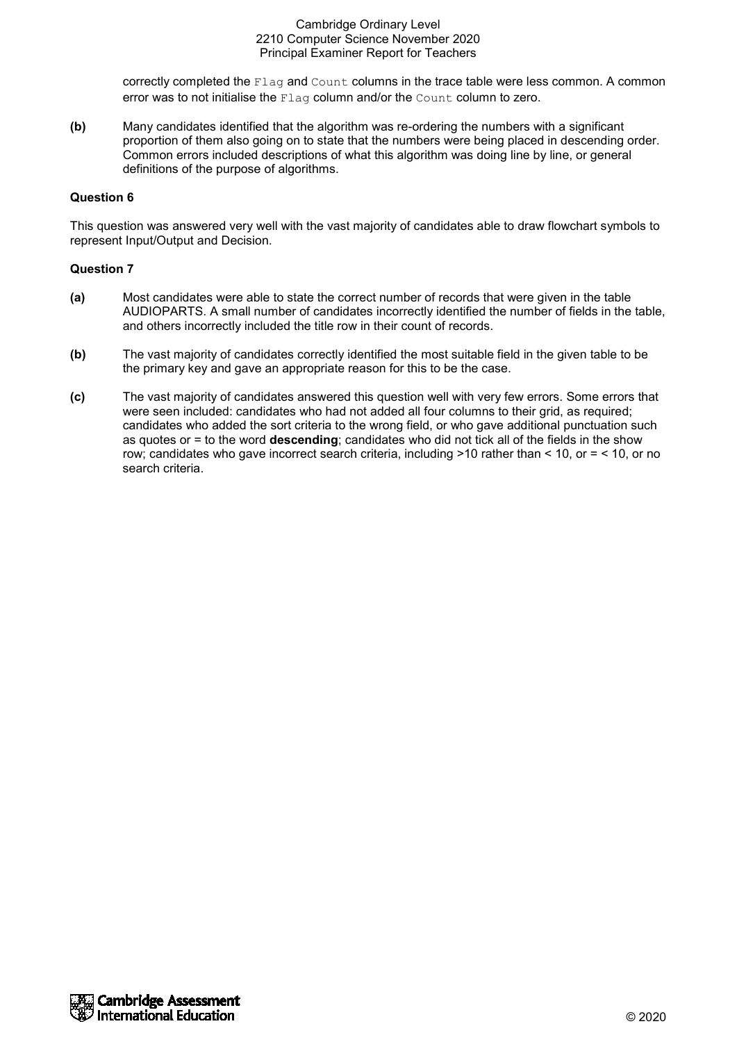correctly completed the Flag and Count columns in the trace table were less common. A common error was to not initialise the Flag column and/or the Count column to zero.

**(b)** Many candidates identified that the algorithm was re-ordering the numbers with a significant proportion of them also going on to state that the numbers were being placed in descending order. Common errors included descriptions of what this algorithm was doing line by line, or general definitions of the purpose of algorithms.

# **Question 6**

This question was answered very well with the vast majority of candidates able to draw flowchart symbols to represent Input/Output and Decision.

- **(a)** Most candidates were able to state the correct number of records that were given in the table AUDIOPARTS. A small number of candidates incorrectly identified the number of fields in the table, and others incorrectly included the title row in their count of records.
- **(b)** The vast majority of candidates correctly identified the most suitable field in the given table to be the primary key and gave an appropriate reason for this to be the case.
- **(c)** The vast majority of candidates answered this question well with very few errors. Some errors that were seen included: candidates who had not added all four columns to their grid, as required; candidates who added the sort criteria to the wrong field, or who gave additional punctuation such as quotes or = to the word **descending**; candidates who did not tick all of the fields in the show row; candidates who gave incorrect search criteria, including >10 rather than < 10, or = < 10, or no search criteria.

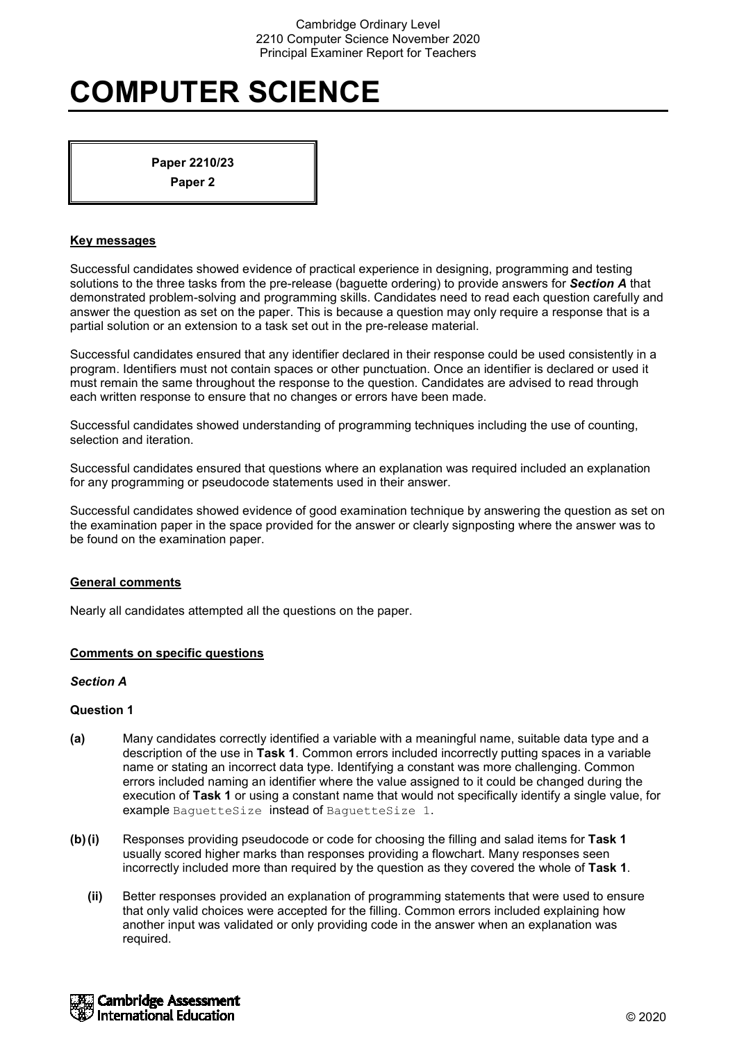# **COMPUTER SCIENCE**

**Paper 2210/23 Paper 2**

# **Key messages**

Successful candidates showed evidence of practical experience in designing, programming and testing solutions to the three tasks from the pre-release (baguette ordering) to provide answers for *Section A* that demonstrated problem-solving and programming skills. Candidates need to read each question carefully and answer the question as set on the paper. This is because a question may only require a response that is a partial solution or an extension to a task set out in the pre-release material.

Successful candidates ensured that any identifier declared in their response could be used consistently in a program. Identifiers must not contain spaces or other punctuation. Once an identifier is declared or used it must remain the same throughout the response to the question. Candidates are advised to read through each written response to ensure that no changes or errors have been made.

Successful candidates showed understanding of programming techniques including the use of counting, selection and iteration.

Successful candidates ensured that questions where an explanation was required included an explanation for any programming or pseudocode statements used in their answer.

Successful candidates showed evidence of good examination technique by answering the question as set on the examination paper in the space provided for the answer or clearly signposting where the answer was to be found on the examination paper.

### **General comments**

Nearly all candidates attempted all the questions on the paper.

### **Comments on specific questions**

### *Section A*

- **(a)** Many candidates correctly identified a variable with a meaningful name, suitable data type and a description of the use in **Task 1**. Common errors included incorrectly putting spaces in a variable name or stating an incorrect data type. Identifying a constant was more challenging. Common errors included naming an identifier where the value assigned to it could be changed during the execution of **Task 1** or using a constant name that would not specifically identify a single value, for example BaguetteSize instead of BaguetteSize 1.
- **(b)(i)** Responses providing pseudocode or code for choosing the filling and salad items for **Task 1** usually scored higher marks than responses providing a flowchart. Many responses seen incorrectly included more than required by the question as they covered the whole of **Task 1**.
	- **(ii)** Better responses provided an explanation of programming statements that were used to ensure that only valid choices were accepted for the filling. Common errors included explaining how another input was validated or only providing code in the answer when an explanation was required.